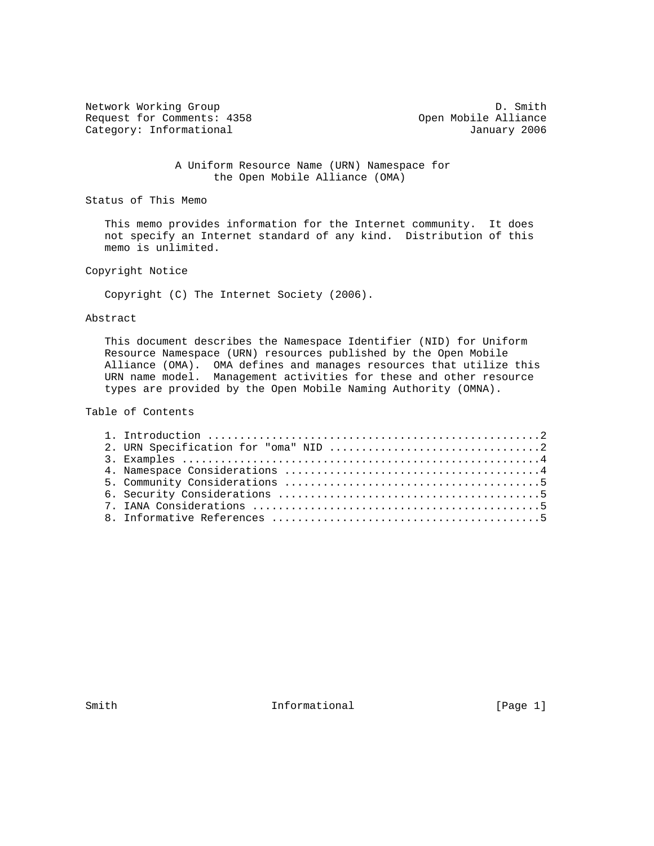Network Working Group<br>
Request for Comments: 4358 (Depen Mobile Alliance Request for Comments: 4358 Category: Informational and Category: Informational and January 2006

 A Uniform Resource Name (URN) Namespace for the Open Mobile Alliance (OMA)

Status of This Memo

 This memo provides information for the Internet community. It does not specify an Internet standard of any kind. Distribution of this memo is unlimited.

Copyright Notice

Copyright (C) The Internet Society (2006).

## Abstract

 This document describes the Namespace Identifier (NID) for Uniform Resource Namespace (URN) resources published by the Open Mobile Alliance (OMA). OMA defines and manages resources that utilize this URN name model. Management activities for these and other resource types are provided by the Open Mobile Naming Authority (OMNA).

Table of Contents

Smith  $Informational$  [Page 1]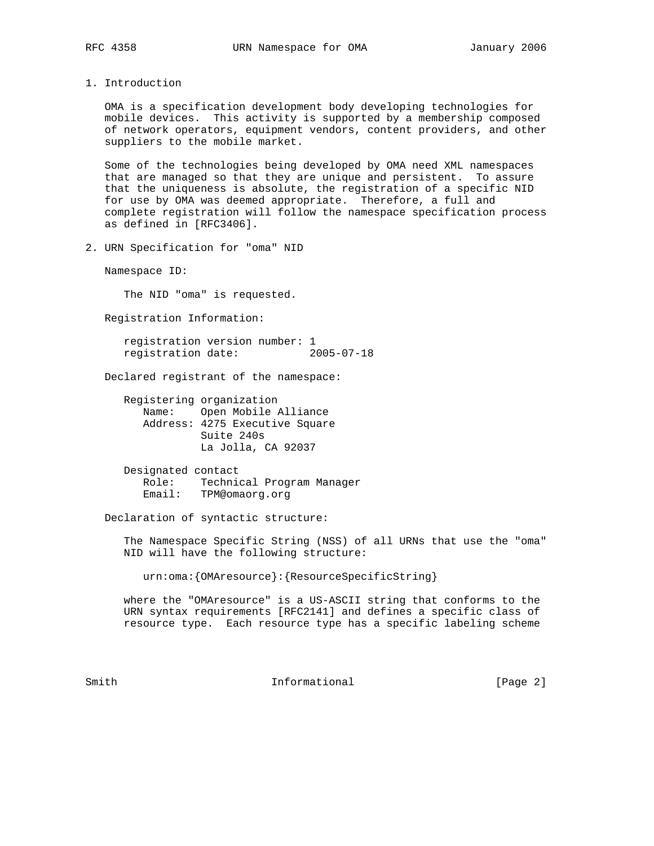1. Introduction

 OMA is a specification development body developing technologies for mobile devices. This activity is supported by a membership composed of network operators, equipment vendors, content providers, and other suppliers to the mobile market.

 Some of the technologies being developed by OMA need XML namespaces that are managed so that they are unique and persistent. To assure that the uniqueness is absolute, the registration of a specific NID for use by OMA was deemed appropriate. Therefore, a full and complete registration will follow the namespace specification process as defined in [RFC3406].

2. URN Specification for "oma" NID

Namespace ID:

The NID "oma" is requested.

Registration Information:

 registration version number: 1 registration date: 2005-07-18

Declared registrant of the namespace:

 Registering organization Name: Open Mobile Alliance Address: 4275 Executive Square Suite 240s La Jolla, CA 92037

 Designated contact Role: Technical Program Manager Email: TPM@omaorg.org

Declaration of syntactic structure:

 The Namespace Specific String (NSS) of all URNs that use the "oma" NID will have the following structure:

urn:oma:{OMAresource}:{ResourceSpecificString}

 where the "OMAresource" is a US-ASCII string that conforms to the URN syntax requirements [RFC2141] and defines a specific class of resource type. Each resource type has a specific labeling scheme

Smith  $Informational$  [Page 2]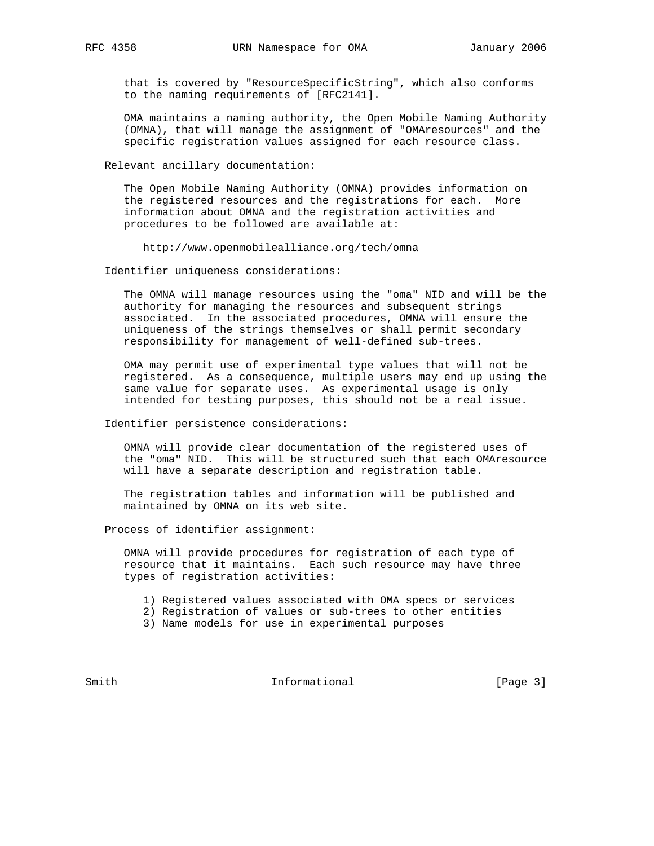that is covered by "ResourceSpecificString", which also conforms to the naming requirements of [RFC2141].

 OMA maintains a naming authority, the Open Mobile Naming Authority (OMNA), that will manage the assignment of "OMAresources" and the specific registration values assigned for each resource class.

Relevant ancillary documentation:

 The Open Mobile Naming Authority (OMNA) provides information on the registered resources and the registrations for each. More information about OMNA and the registration activities and procedures to be followed are available at:

http://www.openmobilealliance.org/tech/omna

Identifier uniqueness considerations:

 The OMNA will manage resources using the "oma" NID and will be the authority for managing the resources and subsequent strings associated. In the associated procedures, OMNA will ensure the uniqueness of the strings themselves or shall permit secondary responsibility for management of well-defined sub-trees.

 OMA may permit use of experimental type values that will not be registered. As a consequence, multiple users may end up using the same value for separate uses. As experimental usage is only intended for testing purposes, this should not be a real issue.

Identifier persistence considerations:

 OMNA will provide clear documentation of the registered uses of the "oma" NID. This will be structured such that each OMAresource will have a separate description and registration table.

 The registration tables and information will be published and maintained by OMNA on its web site.

Process of identifier assignment:

 OMNA will provide procedures for registration of each type of resource that it maintains. Each such resource may have three types of registration activities:

- 1) Registered values associated with OMA specs or services
- 2) Registration of values or sub-trees to other entities
- 3) Name models for use in experimental purposes

Smith  $Informational$  [Page 3]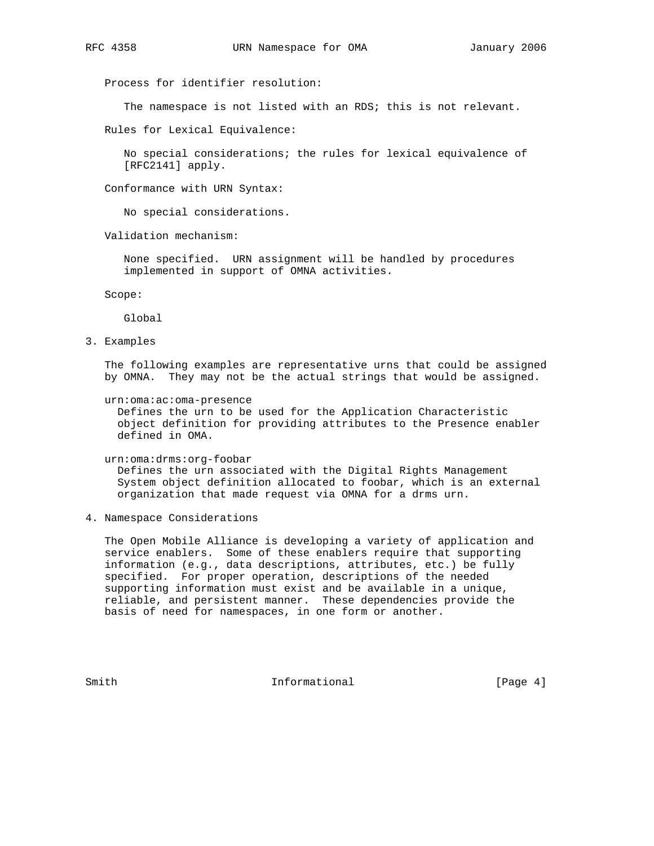Process for identifier resolution:

The namespace is not listed with an RDS; this is not relevant.

Rules for Lexical Equivalence:

 No special considerations; the rules for lexical equivalence of [RFC2141] apply.

Conformance with URN Syntax:

No special considerations.

Validation mechanism:

 None specified. URN assignment will be handled by procedures implemented in support of OMNA activities.

Scope:

Global

3. Examples

 The following examples are representative urns that could be assigned by OMNA. They may not be the actual strings that would be assigned.

urn:oma:ac:oma-presence

 Defines the urn to be used for the Application Characteristic object definition for providing attributes to the Presence enabler defined in OMA.

urn:oma:drms:org-foobar

 Defines the urn associated with the Digital Rights Management System object definition allocated to foobar, which is an external organization that made request via OMNA for a drms urn.

4. Namespace Considerations

 The Open Mobile Alliance is developing a variety of application and service enablers. Some of these enablers require that supporting information (e.g., data descriptions, attributes, etc.) be fully specified. For proper operation, descriptions of the needed supporting information must exist and be available in a unique, reliable, and persistent manner. These dependencies provide the basis of need for namespaces, in one form or another.

Smith  $Informational$  [Page 4]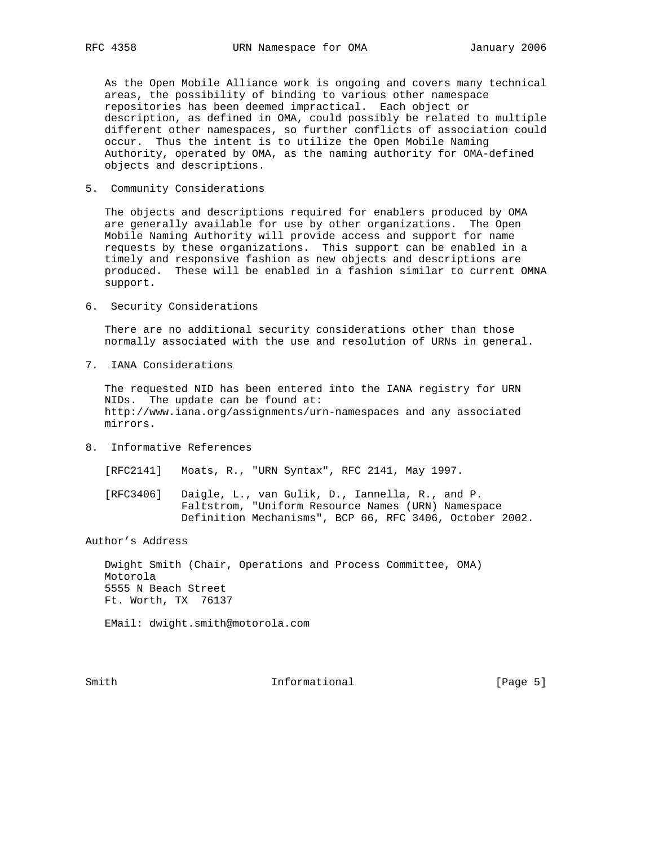As the Open Mobile Alliance work is ongoing and covers many technical areas, the possibility of binding to various other namespace repositories has been deemed impractical. Each object or description, as defined in OMA, could possibly be related to multiple different other namespaces, so further conflicts of association could occur. Thus the intent is to utilize the Open Mobile Naming Authority, operated by OMA, as the naming authority for OMA-defined objects and descriptions.

5. Community Considerations

 The objects and descriptions required for enablers produced by OMA are generally available for use by other organizations. The Open Mobile Naming Authority will provide access and support for name requests by these organizations. This support can be enabled in a timely and responsive fashion as new objects and descriptions are produced. These will be enabled in a fashion similar to current OMNA support.

6. Security Considerations

 There are no additional security considerations other than those normally associated with the use and resolution of URNs in general.

7. IANA Considerations

 The requested NID has been entered into the IANA registry for URN NIDs. The update can be found at: http://www.iana.org/assignments/urn-namespaces and any associated mirrors.

8. Informative References

[RFC2141] Moats, R., "URN Syntax", RFC 2141, May 1997.

 [RFC3406] Daigle, L., van Gulik, D., Iannella, R., and P. Faltstrom, "Uniform Resource Names (URN) Namespace Definition Mechanisms", BCP 66, RFC 3406, October 2002.

Author's Address

 Dwight Smith (Chair, Operations and Process Committee, OMA) Motorola 5555 N Beach Street Ft. Worth, TX 76137

EMail: dwight.smith@motorola.com

Smith  $Informational$  [Page 5]